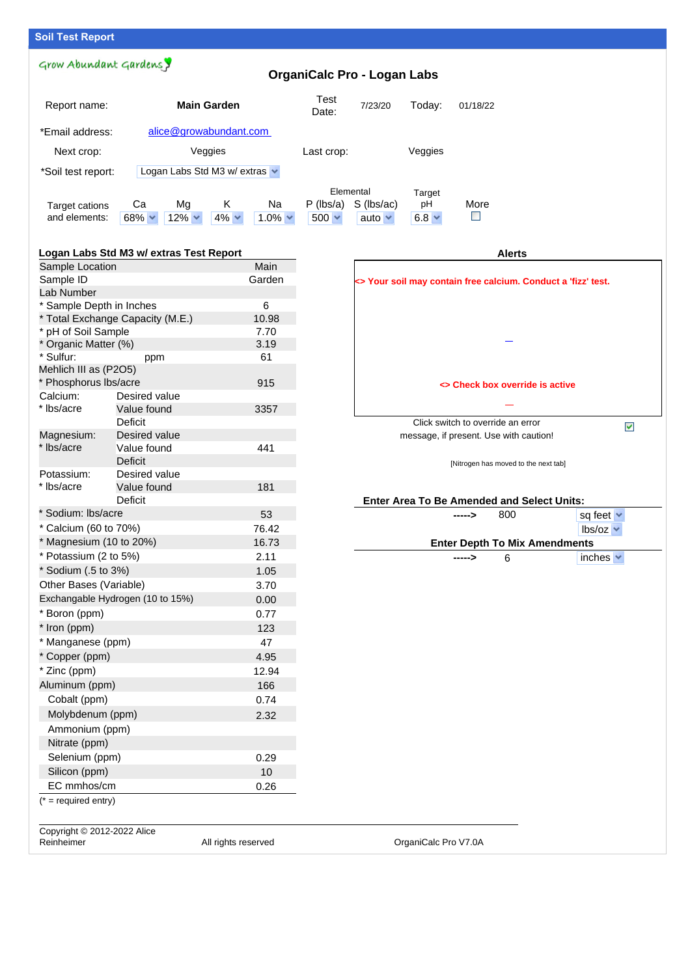# **Soil Test Report**

Grow Abundant Gardensy

# **OrganiCalc Pro - Logan Labs**

| Report name:       |               | <b>Main Garden</b>            |            | Test<br>Date:  | 7/23/20      | Today:           | 01/18/22     |      |  |
|--------------------|---------------|-------------------------------|------------|----------------|--------------|------------------|--------------|------|--|
| *Email address:    |               | alice@growabundant.com        |            |                |              |                  |              |      |  |
| Next crop:         |               | Veggies                       |            |                | Last crop:   |                  | Veggies      |      |  |
| *Soil test report: |               | Logan Labs Std M3 w/ extras v |            |                |              |                  |              |      |  |
|                    |               |                               |            |                | Elemental    |                  | Target       |      |  |
| Target cations     | Ca            | Mq                            | К          | Na             | $P$ (lbs/a)  | $S$ ( $lbs/ac$ ) | рH           | More |  |
| and elements:      | $68\%$ $\sim$ | $12\% \times$                 | $4\% \vee$ | $1.0\% \times$ | $500 \times$ | auto $\vee$      | $6.8 \times$ |      |  |

### **Logan Labs Std M3 w/ extras Test Report**

| Main<br>Sample Location          |                                  |                     |  |  |  |  |
|----------------------------------|----------------------------------|---------------------|--|--|--|--|
| Sample ID                        |                                  | Garden              |  |  |  |  |
| Lab Number                       |                                  |                     |  |  |  |  |
| * Sample Depth in Inches         |                                  | 6                   |  |  |  |  |
| * Total Exchange Capacity (M.E.) | 10.98                            |                     |  |  |  |  |
| * pH of Soil Sample              |                                  | 7.70                |  |  |  |  |
| * Organic Matter (%)             |                                  | 3.19                |  |  |  |  |
| * Sulfur:                        | ppm                              | 61                  |  |  |  |  |
| Mehlich III as (P2O5)            |                                  |                     |  |  |  |  |
| * Phosphorus Ibs/acre            |                                  | 915                 |  |  |  |  |
| Calcium:                         | Desired value                    |                     |  |  |  |  |
| * Ibs/acre                       | Value found                      | 3357                |  |  |  |  |
|                                  | Deficit                          |                     |  |  |  |  |
| Magnesium:<br>* Ibs/acre         | Desired value                    |                     |  |  |  |  |
|                                  | Value found<br>Deficit           | 441                 |  |  |  |  |
| Potassium:                       | Desired value                    |                     |  |  |  |  |
| * Ibs/acre                       | Value found                      | 181                 |  |  |  |  |
|                                  | Deficit                          |                     |  |  |  |  |
| * Sodium: Ibs/acre               |                                  | 53                  |  |  |  |  |
| * Calcium (60 to 70%)            |                                  | 76.42               |  |  |  |  |
| * Magnesium (10 to 20%)          |                                  | 16.73               |  |  |  |  |
| * Potassium (2 to 5%)            |                                  | 2.11                |  |  |  |  |
| * Sodium (.5 to 3%)              |                                  | 1.05                |  |  |  |  |
| Other Bases (Variable)           |                                  | 3.70                |  |  |  |  |
|                                  | Exchangable Hydrogen (10 to 15%) | 0.00                |  |  |  |  |
| * Boron (ppm)                    |                                  | 0.77                |  |  |  |  |
| * Iron (ppm)                     |                                  | 123                 |  |  |  |  |
| * Manganese (ppm)                |                                  | 47                  |  |  |  |  |
| * Copper (ppm)                   |                                  | 4.95                |  |  |  |  |
| * Zinc (ppm)                     |                                  | 12.94               |  |  |  |  |
| Aluminum (ppm)                   |                                  | 166                 |  |  |  |  |
| Cobalt (ppm)                     |                                  | 0.74                |  |  |  |  |
| Molybdenum (ppm)                 |                                  | 2.32                |  |  |  |  |
| Ammonium (ppm)                   |                                  |                     |  |  |  |  |
| Nitrate (ppm)                    |                                  |                     |  |  |  |  |
| Selenium (ppm)                   |                                  | 0.29                |  |  |  |  |
| Silicon (ppm)                    |                                  | 10                  |  |  |  |  |
| EC mmhos/cm                      |                                  | 0.26                |  |  |  |  |
| $(* = required entry)$           |                                  |                     |  |  |  |  |
| Copyright © 2012-2022 Alice      |                                  |                     |  |  |  |  |
| Reinheimer                       |                                  | All rights reserved |  |  |  |  |

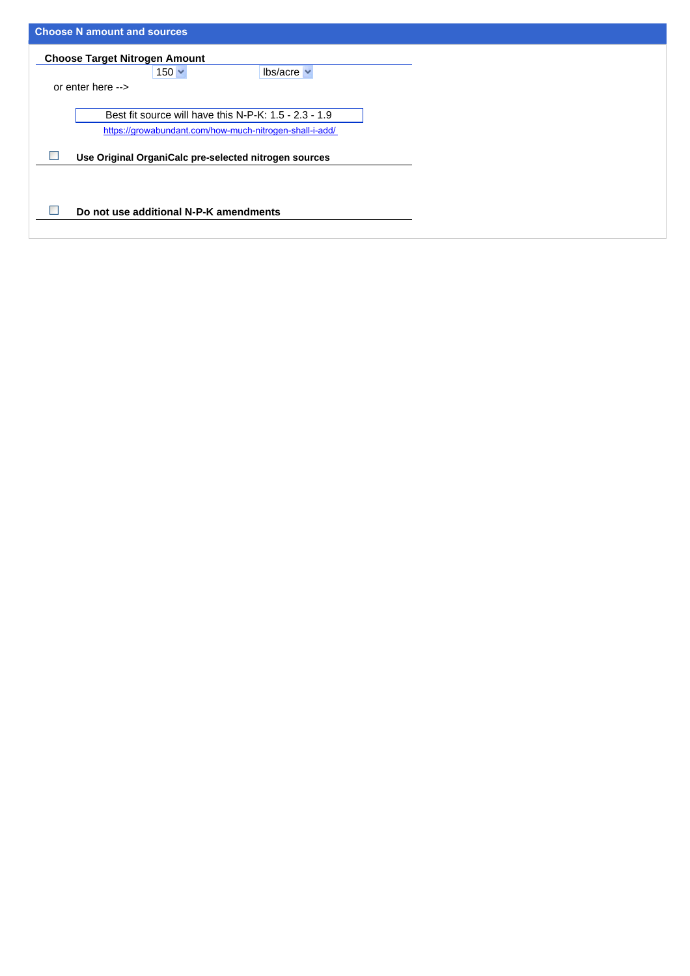| <b>Choose N amount and sources</b>                                                                                 |
|--------------------------------------------------------------------------------------------------------------------|
| <b>Choose Target Nitrogen Amount</b>                                                                               |
| $150 \times$<br>$lbs/acre \sim$                                                                                    |
| or enter here -->                                                                                                  |
| Best fit source will have this N-P-K: $1.5 - 2.3 - 1.9$<br>https://growabundant.com/how-much-nitrogen-shall-i-add/ |
| Use Original OrganiCalc pre-selected nitrogen sources                                                              |
| Do not use additional N-P-K amendments                                                                             |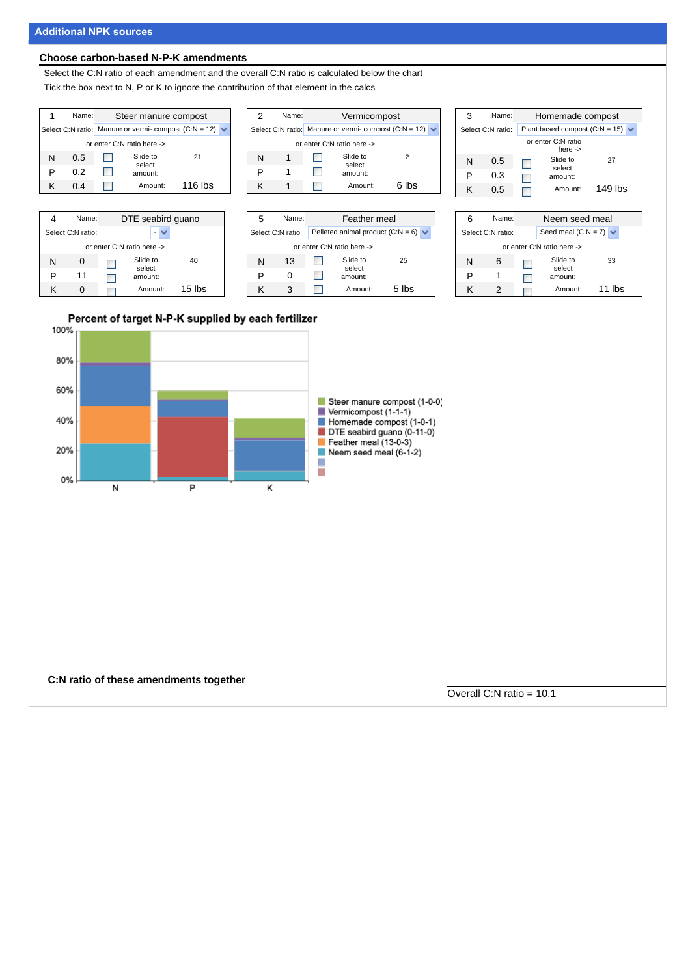### **Additional NPK sources**

#### **Choose carbon-based N-P-K amendments**

Select the C:N ratio of each amendment and the overall C:N ratio is calculated below the chart Tick the box next to N, P or K to ignore the contribution of that element in the calcs



|                            | Name:             | DTE seabird guano |                    |          |  |  |  |  |  |  |  |
|----------------------------|-------------------|-------------------|--------------------|----------|--|--|--|--|--|--|--|
|                            | Select C:N ratio: |                   |                    |          |  |  |  |  |  |  |  |
| or enter C:N ratio here -> |                   |                   |                    |          |  |  |  |  |  |  |  |
| N                          | $\Omega$          |                   | Slide to<br>select | 40       |  |  |  |  |  |  |  |
| P                          | 11                |                   | amount:            |          |  |  |  |  |  |  |  |
| κ                          |                   |                   | Amount:            | $15$ lbs |  |  |  |  |  |  |  |

| 2                                                      | Name: |  | Vermicompost       |     |  |  |  |  |  |  |  |  |  |
|--------------------------------------------------------|-------|--|--------------------|-----|--|--|--|--|--|--|--|--|--|
| Select C:N ratio: Manure or vermi-compost $(C:N = 12)$ |       |  |                    |     |  |  |  |  |  |  |  |  |  |
| or enter C:N ratio here ->                             |       |  |                    |     |  |  |  |  |  |  |  |  |  |
| N                                                      |       |  | Slide to<br>select | 2   |  |  |  |  |  |  |  |  |  |
| P                                                      |       |  | amount:            |     |  |  |  |  |  |  |  |  |  |
|                                                        |       |  | Amount:            | lh۹ |  |  |  |  |  |  |  |  |  |





| 6                          | Name:             |  | Neem seed meal             |        |  |  |  |  |  |  |  |
|----------------------------|-------------------|--|----------------------------|--------|--|--|--|--|--|--|--|
|                            | Select C:N ratio: |  | Seed meal (C:N = 7) $\vee$ |        |  |  |  |  |  |  |  |
| or enter C:N ratio here -> |                   |  |                            |        |  |  |  |  |  |  |  |
| N                          | 6                 |  | Slide to                   | 33     |  |  |  |  |  |  |  |
| P                          |                   |  | select<br>amount:          |        |  |  |  |  |  |  |  |
| ĸ                          |                   |  | Amount:                    | 11 lbs |  |  |  |  |  |  |  |



**C:N ratio of these amendments together**

Overall C:N ratio = 10.1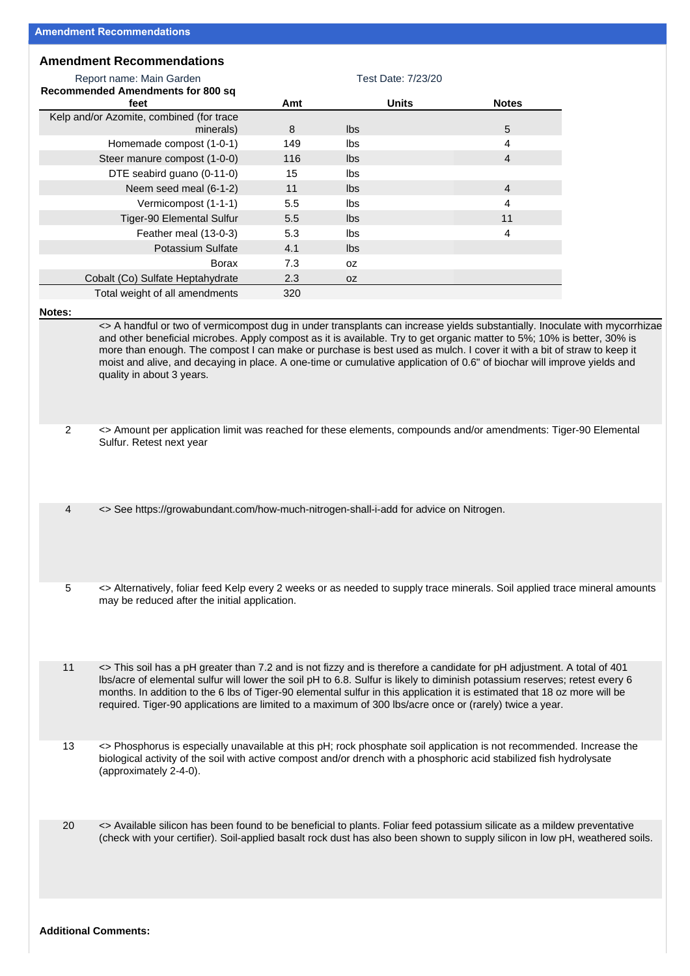## **Amendment Recommendations**

|                | Report name: Main Garden                                                                                                                                                                                                                                                                                                                                                                                                                                                                                                               | Test Date: 7/23/20 |              |  |                |  |  |
|----------------|----------------------------------------------------------------------------------------------------------------------------------------------------------------------------------------------------------------------------------------------------------------------------------------------------------------------------------------------------------------------------------------------------------------------------------------------------------------------------------------------------------------------------------------|--------------------|--------------|--|----------------|--|--|
|                | <b>Recommended Amendments for 800 sq</b><br>feet                                                                                                                                                                                                                                                                                                                                                                                                                                                                                       | Amt                | <b>Units</b> |  | <b>Notes</b>   |  |  |
|                | Kelp and/or Azomite, combined (for trace                                                                                                                                                                                                                                                                                                                                                                                                                                                                                               |                    |              |  |                |  |  |
|                | minerals)                                                                                                                                                                                                                                                                                                                                                                                                                                                                                                                              | 8                  | Ibs          |  | 5              |  |  |
|                | Homemade compost (1-0-1)                                                                                                                                                                                                                                                                                                                                                                                                                                                                                                               | 149                | lbs          |  | 4              |  |  |
|                | Steer manure compost (1-0-0)                                                                                                                                                                                                                                                                                                                                                                                                                                                                                                           | 116                | Ibs          |  | $\overline{4}$ |  |  |
|                | DTE seabird guano (0-11-0)                                                                                                                                                                                                                                                                                                                                                                                                                                                                                                             | 15                 | Ibs          |  |                |  |  |
|                | Neem seed meal (6-1-2)                                                                                                                                                                                                                                                                                                                                                                                                                                                                                                                 | 11                 | Ibs          |  | $\overline{4}$ |  |  |
|                | Vermicompost (1-1-1)                                                                                                                                                                                                                                                                                                                                                                                                                                                                                                                   | 5.5                | Ibs          |  | 4              |  |  |
|                | Tiger-90 Elemental Sulfur                                                                                                                                                                                                                                                                                                                                                                                                                                                                                                              | 5.5                | lbs          |  | 11             |  |  |
|                | Feather meal (13-0-3)                                                                                                                                                                                                                                                                                                                                                                                                                                                                                                                  | 5.3                | Ibs          |  | 4              |  |  |
|                | Potassium Sulfate                                                                                                                                                                                                                                                                                                                                                                                                                                                                                                                      | 4.1                | Ibs          |  |                |  |  |
|                | Borax                                                                                                                                                                                                                                                                                                                                                                                                                                                                                                                                  | 7.3                | 0Z           |  |                |  |  |
|                | Cobalt (Co) Sulfate Heptahydrate                                                                                                                                                                                                                                                                                                                                                                                                                                                                                                       | 2.3                | 0Z           |  |                |  |  |
|                | Total weight of all amendments                                                                                                                                                                                                                                                                                                                                                                                                                                                                                                         | 320                |              |  |                |  |  |
|                | <> A handful or two of vermicompost dug in under transplants can increase yields substantially. Inoculate with mycorrhizae<br>and other beneficial microbes. Apply compost as it is available. Try to get organic matter to 5%; 10% is better, 30% is<br>more than enough. The compost I can make or purchase is best used as mulch. I cover it with a bit of straw to keep it<br>moist and alive, and decaying in place. A one-time or cumulative application of 0.6" of biochar will improve yields and<br>quality in about 3 years. |                    |              |  |                |  |  |
| $\overline{2}$ | <> Amount per application limit was reached for these elements, compounds and/or amendments: Tiger-90 Elemental<br>Sulfur. Retest next year                                                                                                                                                                                                                                                                                                                                                                                            |                    |              |  |                |  |  |
| 4              | <> See https://growabundant.com/how-much-nitrogen-shall-i-add for advice on Nitrogen.                                                                                                                                                                                                                                                                                                                                                                                                                                                  |                    |              |  |                |  |  |
| 5              | <> Alternatively, foliar feed Kelp every 2 weeks or as needed to supply trace minerals. Soil applied trace mineral amounts<br>may be reduced after the initial application.                                                                                                                                                                                                                                                                                                                                                            |                    |              |  |                |  |  |
| 11             | <> This soil has a pH greater than 7.2 and is not fizzy and is therefore a candidate for pH adjustment. A total of 401<br>Ibs/acre of elemental sulfur will lower the soil pH to 6.8. Sulfur is likely to diminish potassium reserves; retest every 6<br>months. In addition to the 6 lbs of Tiger-90 elemental sulfur in this application it is estimated that 18 oz more will be<br>required. Tiger-90 applications are limited to a maximum of 300 lbs/acre once or (rarely) twice a year.                                          |                    |              |  |                |  |  |
| 13             | <> Phosphorus is especially unavailable at this pH; rock phosphate soil application is not recommended. Increase the<br>biological activity of the soil with active compost and/or drench with a phosphoric acid stabilized fish hydrolysate<br>(approximately 2-4-0).                                                                                                                                                                                                                                                                 |                    |              |  |                |  |  |
| 20             | <> Available silicon has been found to be beneficial to plants. Foliar feed potassium silicate as a mildew preventative<br>(check with your certifier). Soil-applied basalt rock dust has also been shown to supply silicon in low pH, weathered soils.                                                                                                                                                                                                                                                                                |                    |              |  |                |  |  |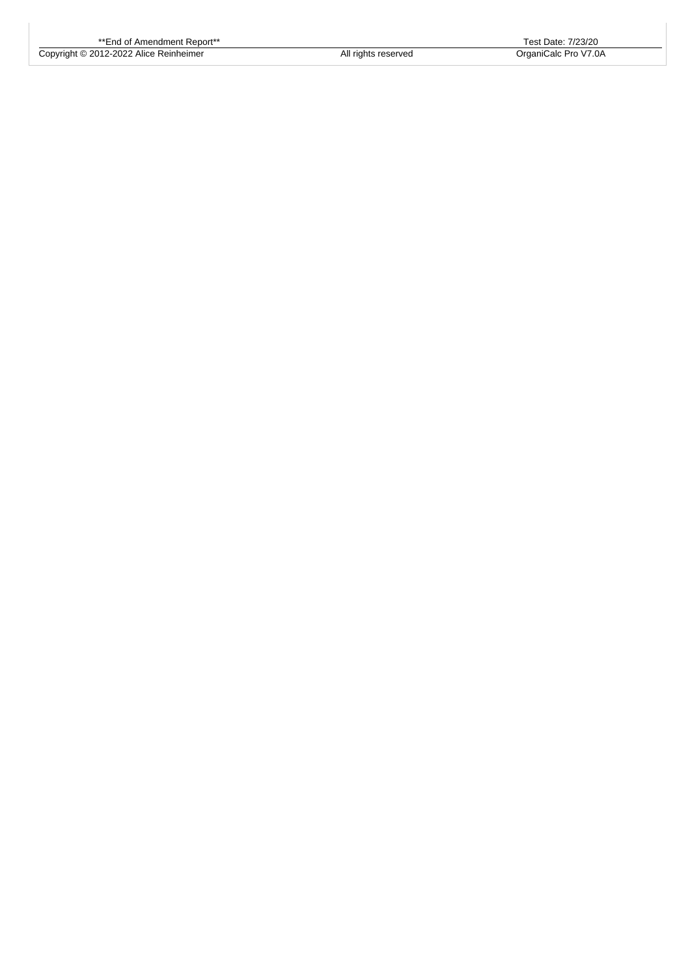Copyright © 2012-2022 Alice Reinheimer All rights reserved OrganiCalc Pro V7.0A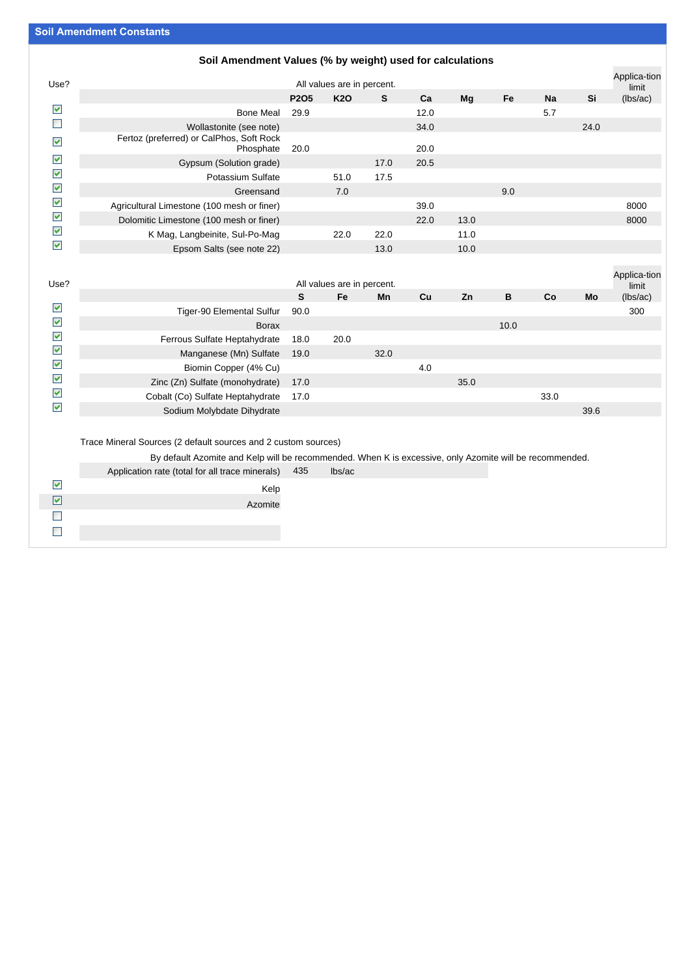## **Soil Amendment Values (% by weight) used for calculations**

|                      | <b>UUII AMUUNUMUU VARUUD (70 DY WULGHI) USUU TUI UATUARIUMS</b> |                               |            |      |      |      |     |           |      |                       |
|----------------------|-----------------------------------------------------------------|-------------------------------|------------|------|------|------|-----|-----------|------|-----------------------|
| Use?                 | All values are in percent.                                      |                               |            |      |      |      |     |           |      | Applica-tion<br>limit |
|                      |                                                                 | P <sub>2</sub> O <sub>5</sub> | <b>K20</b> | S    | Ca   | Mq   | Fe  | <b>Na</b> | Si   | (lbs/ac)              |
| $\blacktriangledown$ | <b>Bone Meal</b>                                                | 29.9                          |            |      | 12.0 |      |     | 5.7       |      |                       |
|                      | Wollastonite (see note)                                         |                               |            |      | 34.0 |      |     |           | 24.0 |                       |
| $\blacktriangledown$ | Fertoz (preferred) or CalPhos, Soft Rock<br>Phosphate           | 20.0                          |            |      | 20.0 |      |     |           |      |                       |
| $\blacktriangledown$ | Gypsum (Solution grade)                                         |                               |            | 17.0 | 20.5 |      |     |           |      |                       |
| ✔                    | Potassium Sulfate                                               |                               | 51.0       | 17.5 |      |      |     |           |      |                       |
| ✔                    | Greensand                                                       |                               | 7.0        |      |      |      | 9.0 |           |      |                       |
| ✔                    | Agricultural Limestone (100 mesh or finer)                      |                               |            |      | 39.0 |      |     |           |      | 8000                  |
| $\blacktriangledown$ | Dolomitic Limestone (100 mesh or finer)                         |                               |            |      | 22.0 | 13.0 |     |           |      | 8000                  |
| $\blacktriangledown$ | K Mag, Langbeinite, Sul-Po-Mag                                  |                               | 22.0       | 22.0 |      | 11.0 |     |           |      |                       |
| M                    | Epsom Salts (see note 22)                                       |                               |            | 13.0 |      | 10.0 |     |           |      |                       |

| Use?                 |                                  |      | All values are in percent. |      |     |      |      |      |      | Applica-tion<br>limit |
|----------------------|----------------------------------|------|----------------------------|------|-----|------|------|------|------|-----------------------|
|                      |                                  | S    | Fe                         | Mn   | Cu  | Zn   | в    | Co   | Mo   | (lbs/ac)              |
| ⊻                    | Tiger-90 Elemental Sulfur        | 90.0 |                            |      |     |      |      |      |      | 300                   |
| $\blacktriangledown$ | <b>Borax</b>                     |      |                            |      |     |      | 10.0 |      |      |                       |
| $\blacktriangledown$ | Ferrous Sulfate Heptahydrate     | 18.0 | 20.0                       |      |     |      |      |      |      |                       |
| $\blacktriangledown$ | Manganese (Mn) Sulfate 19.0      |      |                            | 32.0 |     |      |      |      |      |                       |
| $\blacktriangledown$ | Biomin Copper (4% Cu)            |      |                            |      | 4.0 |      |      |      |      |                       |
| $\blacktriangledown$ | Zinc (Zn) Sulfate (monohydrate)  | 17.0 |                            |      |     | 35.0 |      |      |      |                       |
| $\blacktriangledown$ | Cobalt (Co) Sulfate Heptahydrate | 17.0 |                            |      |     |      |      | 33.0 |      |                       |
| $\blacktriangledown$ | Sodium Molybdate Dihydrate       |      |                            |      |     |      |      |      | 39.6 |                       |
|                      |                                  |      |                            |      |     |      |      |      |      |                       |

Trace Mineral Sources (2 default sources and 2 custom sources)

By default Azomite and Kelp will be recommended. When K is excessive, only Azomite will be recommended.

|                      | Application rate (total for all trace minerals) 435 | lbs/ac |  |
|----------------------|-----------------------------------------------------|--------|--|
| $\blacktriangledown$ | Kelp                                                |        |  |
| ⊻                    | Azomite                                             |        |  |
|                      |                                                     |        |  |
|                      |                                                     |        |  |
|                      |                                                     |        |  |